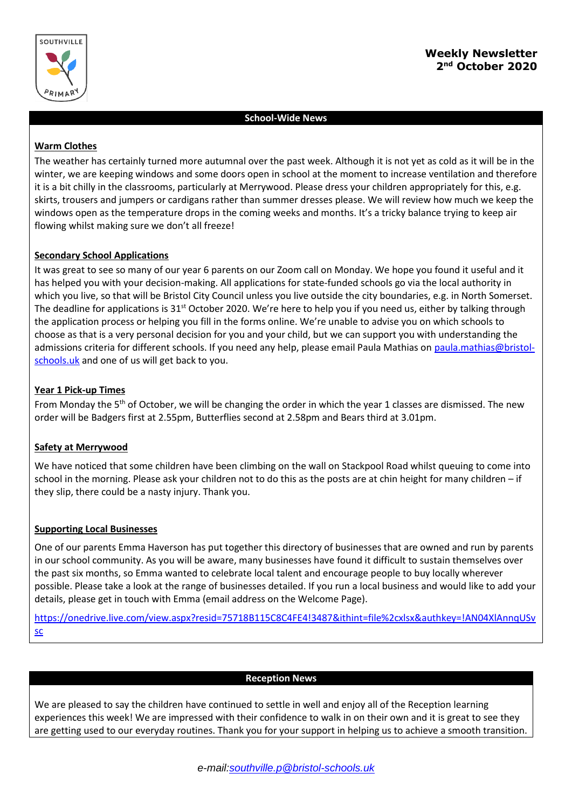

# **Weekly Newsletter 2 nd October 2020**

# **School-Wide News**

### **Warm Clothes**

The weather has certainly turned more autumnal over the past week. Although it is not yet as cold as it will be in the winter, we are keeping windows and some doors open in school at the moment to increase ventilation and therefore it is a bit chilly in the classrooms, particularly at Merrywood. Please dress your children appropriately for this, e.g. skirts, trousers and jumpers or cardigans rather than summer dresses please. We will review how much we keep the windows open as the temperature drops in the coming weeks and months. It's a tricky balance trying to keep air flowing whilst making sure we don't all freeze!

# **Secondary School Applications**

It was great to see so many of our year 6 parents on our Zoom call on Monday. We hope you found it useful and it has helped you with your decision-making. All applications for state-funded schools go via the local authority in which you live, so that will be Bristol City Council unless you live outside the city boundaries, e.g. in North Somerset. The deadline for applications is 31<sup>st</sup> October 2020. We're here to help you if you need us, either by talking through the application process or helping you fill in the forms online. We're unable to advise you on which schools to choose as that is a very personal decision for you and your child, but we can support you with understanding the admissions criteria for different schools. If you need any help, please email Paula Mathias on [paula.mathias@bristol](mailto:paula.mathias@bristol-schools.uk)[schools.uk](mailto:paula.mathias@bristol-schools.uk) and one of us will get back to you.

# **Year 1 Pick-up Times**

From Monday the  $5<sup>th</sup>$  of October, we will be changing the order in which the year 1 classes are dismissed. The new order will be Badgers first at 2.55pm, Butterflies second at 2.58pm and Bears third at 3.01pm.

#### **Safety at Merrywood**

We have noticed that some children have been climbing on the wall on Stackpool Road whilst queuing to come into school in the morning. Please ask your children not to do this as the posts are at chin height for many children – if they slip, there could be a nasty injury. Thank you.

#### **Supporting Local Businesses**

One of our parents Emma Haverson has put together this directory of businesses that are owned and run by parents in our school community. As you will be aware, many businesses have found it difficult to sustain themselves over the past six months, so Emma wanted to celebrate local talent and encourage people to buy locally wherever possible. Please take a look at the range of businesses detailed. If you run a local business and would like to add your details, please get in touch with Emma (email address on the Welcome Page).

[https://onedrive.live.com/view.aspx?resid=75718B115C8C4FE4!3487&ithint=file%2cxlsx&authkey=!AN04XlAnnqUSv](https://onedrive.live.com/view.aspx?resid=75718B115C8C4FE4!3487&ithint=file%2cxlsx&authkey=!AN04XlAnnqUSvsc) [sc](https://onedrive.live.com/view.aspx?resid=75718B115C8C4FE4!3487&ithint=file%2cxlsx&authkey=!AN04XlAnnqUSvsc)

#### **Reception News**

We are pleased to say the children have continued to settle in well and enjoy all of the Reception learning experiences this week! We are impressed with their confidence to walk in on their own and it is great to see they are getting used to our everyday routines. Thank you for your support in helping us to achieve a smooth transition.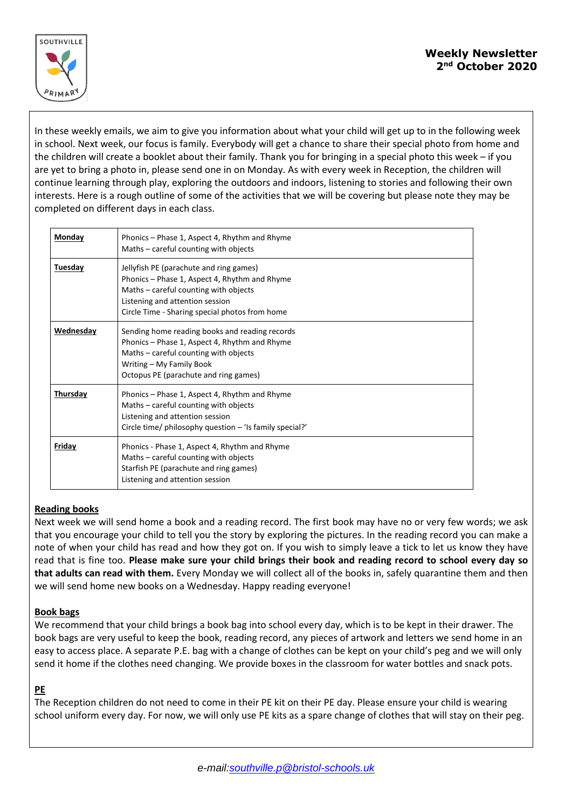

In these weekly emails, we aim to give you information about what your child will get up to in the following week in school. Next week, our focus is family. Everybody will get a chance to share their special photo from home and the children will create a booklet about their family. Thank you for bringing in a special photo this week – if you are yet to bring a photo in, please send one in on Monday. As with every week in Reception, the children will continue learning through play, exploring the outdoors and indoors, listening to stories and following their own interests. Here is a rough outline of some of the activities that we will be covering but please note they may be completed on different days in each class.

| Monday          | Phonics – Phase 1, Aspect 4, Rhythm and Rhyme<br>Maths – careful counting with objects                                                                                                                                 |
|-----------------|------------------------------------------------------------------------------------------------------------------------------------------------------------------------------------------------------------------------|
| Tuesday         | Jellyfish PE (parachute and ring games)<br>Phonics – Phase 1, Aspect 4, Rhythm and Rhyme<br>Maths – careful counting with objects<br>Listening and attention session<br>Circle Time - Sharing special photos from home |
| Wednesday       | Sending home reading books and reading records<br>Phonics – Phase 1, Aspect 4, Rhythm and Rhyme<br>Maths - careful counting with objects<br>Writing - My Family Book<br>Octopus PE (parachute and ring games)          |
| <b>Thursday</b> | Phonics – Phase 1, Aspect 4, Rhythm and Rhyme<br>Maths – careful counting with objects<br>Listening and attention session<br>Circle time/ philosophy question $-$ 'Is family special?'                                 |
| Friday          | Phonics - Phase 1, Aspect 4, Rhythm and Rhyme<br>Maths – careful counting with objects<br>Starfish PE (parachute and ring games)<br>Listening and attention session                                                    |

# **Reading books**

Next week we will send home a book and a reading record. The first book may have no or very few words; we ask that you encourage your child to tell you the story by exploring the pictures. In the reading record you can make a note of when your child has read and how they got on. If you wish to simply leave a tick to let us know they have read that is fine too. **Please make sure your child brings their book and reading record to school every day so that adults can read with them.** Every Monday we will collect all of the books in, safely quarantine them and then we will send home new books on a Wednesday. Happy reading everyone!

#### **Book bags**

We recommend that your child brings a book bag into school every day, which is to be kept in their drawer. The book bags are very useful to keep the book, reading record, any pieces of artwork and letters we send home in an easy to access place. A separate P.E. bag with a change of clothes can be kept on your child's peg and we will only send it home if the clothes need changing. We provide boxes in the classroom for water bottles and snack pots.

# **PE**

The Reception children do not need to come in their PE kit on their PE day. Please ensure your child is wearing school uniform every day. For now, we will only use PE kits as a spare change of clothes that will stay on their peg.